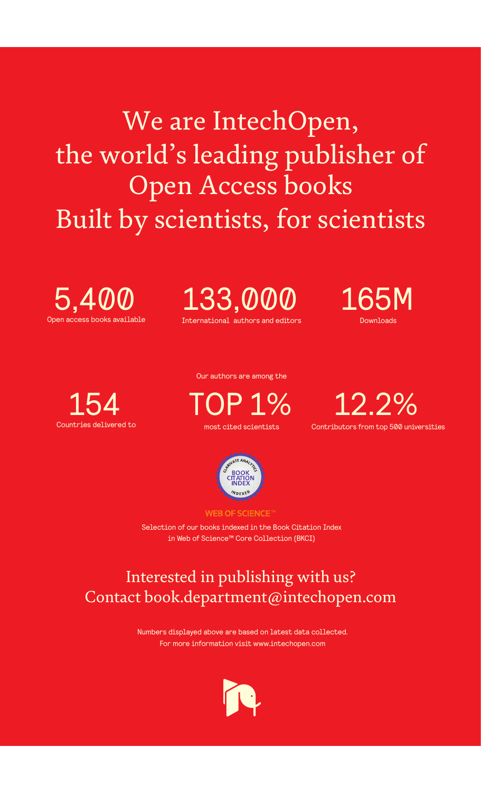We are IntechOpen, the world's leading publisher of Open Access books Built by scientists, for scientists

Open access books available 5,400

International authors and editors 133,000 165M

Downloads



Our authors are among the

most cited scientists TOP 1%





**WEB OF SCIENCE** 

Selection of our books indexed in the Book Citation Index in Web of Science™ Core Collection (BKCI)

# Interested in publishing with us? Contact book.department@intechopen.com

Numbers displayed above are based on latest data collected. For more information visit www.intechopen.com

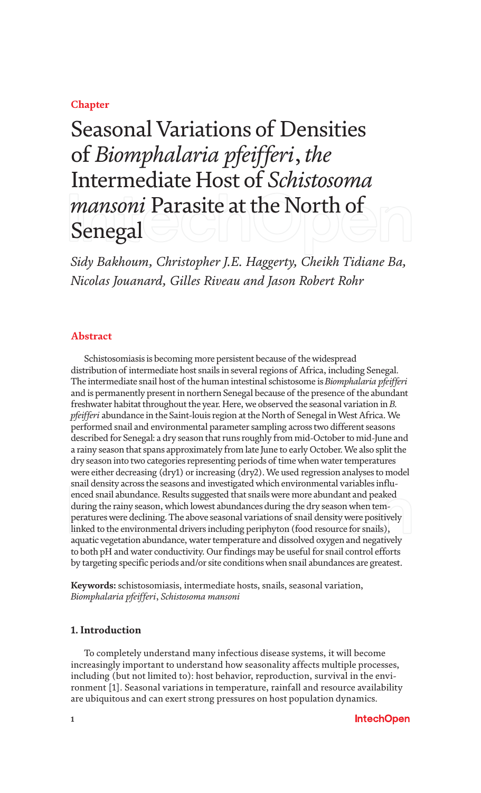# **Chapter**

# Seasonal Variations of Densities of *Biomphalaria pfeifferi*, *the* Intermediate Host of *Schistosoma mansoni* Parasite at the North of Senegal

*Sidy Bakhoum, Christopher J.E. Haggerty, Cheikh Tidiane Ba, Nicolas Jouanard, Gilles Riveau and Jason Robert Rohr*

# **Abstract**

Schistosomiasis is becoming more persistent because of the widespread distribution of intermediate host snails in several regions of Africa, including Senegal. The intermediate snail host of the human intestinal schistosome is *Biomphalaria pfeifferi* and is permanently present in northern Senegal because of the presence of the abundant freshwater habitat throughout the year. Here, we observed the seasonal variation in *B. pfeifferi* abundance in the Saint-louis region at the North of Senegal in West Africa. We performed snail and environmental parameter sampling across two different seasons described for Senegal: a dry season that runs roughly from mid-October to mid-June and a rainy season that spans approximately from late June to early October. We also split the dry season into two categories representing periods of time when water temperatures were either decreasing (dry1) or increasing (dry2). We used regression analyses to model snail density across the seasons and investigated which environmental variables influenced snail abundance. Results suggested that snails were more abundant and peaked during the rainy season, which lowest abundances during the dry season when temperatures were declining. The above seasonal variations of snail density were positively linked to the environmental drivers including periphyton (food resource for snails), aquatic vegetation abundance, water temperature and dissolved oxygen and negatively to both pH and water conductivity. Our findings may be useful for snail control efforts by targeting specific periods and/or site conditions when snail abundances are greatest.

**Keywords:** schistosomiasis, intermediate hosts, snails, seasonal variation, *Biomphalaria pfeifferi*, *Schistosoma mansoni*

## **1. Introduction**

To completely understand many infectious disease systems, it will become increasingly important to understand how seasonality affects multiple processes, including (but not limited to): host behavior, reproduction, survival in the environment [1]. Seasonal variations in temperature, rainfall and resource availability are ubiquitous and can exert strong pressures on host population dynamics.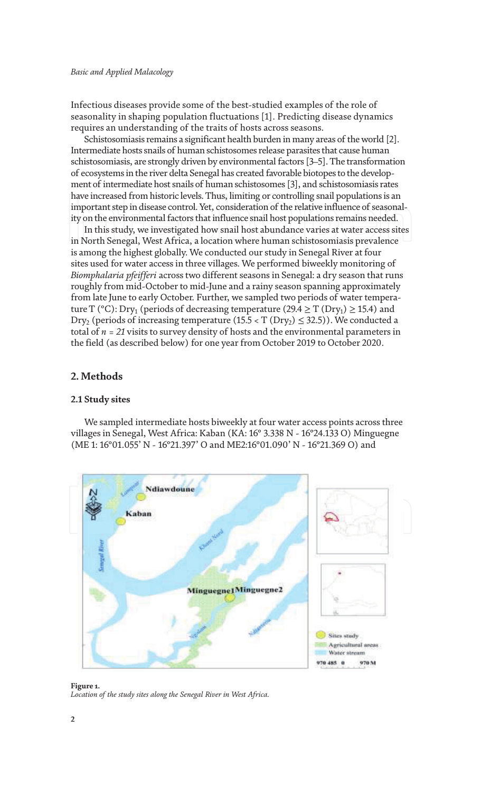Infectious diseases provide some of the best-studied examples of the role of seasonality in shaping population fluctuations [1]. Predicting disease dynamics requires an understanding of the traits of hosts across seasons.

Schistosomiasis remains a significant health burden in many areas of the world [2]. Intermediate hosts snails of human schistosomes release parasites that cause human schistosomiasis, are strongly driven by environmental factors [3–5]. The transformation of ecosystems in the river delta Senegal has created favorable biotopes to the development of intermediate host snails of human schistosomes [3], and schistosomiasis rates have increased from historic levels. Thus, limiting or controlling snail populations is an important step in disease control. Yet, consideration of the relative influence of seasonality on the environmental factors that influence snail host populations remains needed.

In this study, we investigated how snail host abundance varies at water access sites in North Senegal, West Africa, a location where human schistosomiasis prevalence is among the highest globally. We conducted our study in Senegal River at four sites used for water access in three villages. We performed biweekly monitoring of *Biomphalaria pfeifferi* across two different seasons in Senegal: a dry season that runs roughly from mid-October to mid-June and a rainy season spanning approximately from late June to early October. Further, we sampled two periods of water temperature T (°C): Dry<sub>1</sub> (periods of decreasing temperature (29.4  $\geq$  T (Dry<sub>1</sub>)  $\geq$  15.4) and Dry<sub>2</sub> (periods of increasing temperature  $(15.5 < T (Dry<sub>2</sub>) \le 32.5)$ ). We conducted a total of *n = 21* visits to survey density of hosts and the environmental parameters in the field (as described below) for one year from October 2019 to October 2020.

# **2. Methods**

# **2.1 Study sites**

We sampled intermediate hosts biweekly at four water access points across three villages in Senegal, West Africa: Kaban (KA: 16° 3.338 N - 16°24.133 O) Minguegne (ME 1: 16°01.055' N - 16°21.397' O and ME2:16°01.090' N - 16°21.369 O) and



**Figure 1.** *Location of the study sites along the Senegal River in West Africa.*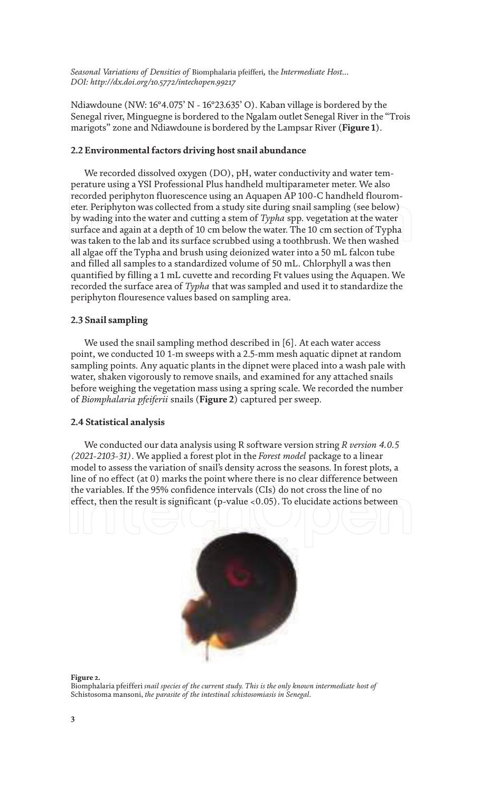Ndiawdoune (NW: 16°4.075' N - 16°23.635' O). Kaban village is bordered by the Senegal river, Minguegne is bordered to the Ngalam outlet Senegal River in the "Trois marigots" zone and Ndiawdoune is bordered by the Lampsar River (**Figure 1**).

## **2.2 Environmental factors driving host snail abundance**

We recorded dissolved oxygen (DO), pH, water conductivity and water temperature using a YSI Professional Plus handheld multiparameter meter. We also recorded periphyton fluorescence using an Aquapen AP 100-C handheld flourometer. Periphyton was collected from a study site during snail sampling (see below) by wading into the water and cutting a stem of *Typha* spp. vegetation at the water surface and again at a depth of 10 cm below the water. The 10 cm section of Typha was taken to the lab and its surface scrubbed using a toothbrush. We then washed all algae off the Typha and brush using deionized water into a 50 mL falcon tube and filled all samples to a standardized volume of 50 mL. Chlorphyll a was then quantified by filling a 1 mL cuvette and recording Ft values using the Aquapen. We recorded the surface area of *Typha* that was sampled and used it to standardize the periphyton flouresence values based on sampling area.

# **2.3 Snail sampling**

We used the snail sampling method described in [6]. At each water access point, we conducted 10 1-m sweeps with a 2.5-mm mesh aquatic dipnet at random sampling points. Any aquatic plants in the dipnet were placed into a wash pale with water, shaken vigorously to remove snails, and examined for any attached snails before weighing the vegetation mass using a spring scale. We recorded the number of *Biomphalaria pfeiferii* snails (**Figure 2**) captured per sweep.

### **2.4 Statistical analysis**

We conducted our data analysis using R software version string *R version 4.0.5 (2021-2103-31)*. We applied a forest plot in the *Forest model* package to a linear model to assess the variation of snail's density across the seasons. In forest plots, a line of no effect (at 0) marks the point where there is no clear difference between the variables. If the 95% confidence intervals (CIs) do not cross the line of no effect, then the result is significant (p-value <0.05). To elucidate actions between



**Figure 2.**

Biomphalaria pfeifferi *snail species of the current study. This is the only known intermediate host of*  Schistosoma mansoni, *the parasite of the intestinal schistosomiasis in Senegal.*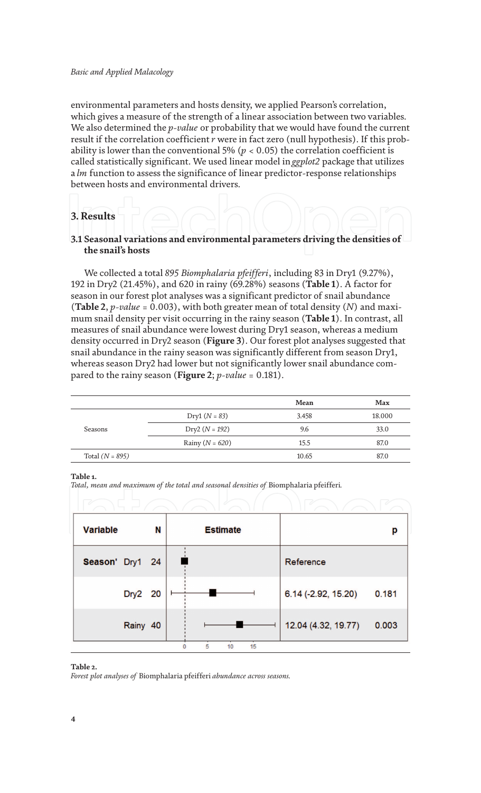environmental parameters and hosts density, we applied Pearson's correlation, which gives a measure of the strength of a linear association between two variables. We also determined the *p-value* or probability that we would have found the current result if the correlation coefficient *r* were in fact zero (null hypothesis). If this probability is lower than the conventional 5% ( $p < 0.05$ ) the correlation coefficient is called statistically significant. We used linear model in *ggplot2* package that utilizes a *lm* function to assess the significance of linear predictor-response relationships between hosts and environmental drivers.

# **3. Results**

# **3.1 Seasonal variations and environmental parameters driving the densities of the snail's hosts**

We collected a total *895 Biomphalaria pfeifferi*, including 83 in Dry1 (9.27%), 192 in Dry2 (21.45%), and 620 in rainy (69.28%) seasons (**Table 1**). A factor for season in our forest plot analyses was a significant predictor of snail abundance (**Table 2**, *p-value* = 0.003), with both greater mean of total density (*N*) and maximum snail density per visit occurring in the rainy season (**Table 1**). In contrast, all measures of snail abundance were lowest during Dry1 season, whereas a medium density occurred in Dry2 season (**Figure 3**). Our forest plot analyses suggested that snail abundance in the rainy season was significantly different from season Dry1, whereas season Dry2 had lower but not significantly lower snail abundance compared to the rainy season (**Figure 2**; *p-value* = 0.181).

|                   |                     | Mean  | Max    |
|-------------------|---------------------|-------|--------|
|                   | $Dry1 (N = 83)$     | 3.458 | 18.000 |
| Seasons           | $Dry2 (N = 192)$    | 9.6   | 33.0   |
|                   | Rainy ( $N = 620$ ) | 15.5  | 87.0   |
| Total $(N = 895)$ |                     | 10.65 | 87.0   |

### **Table 1.**

*Total, mean and maximum of the total and seasonal densities of* Biomphalaria pfeifferi*.*

| <b>Variable</b> |          | N |   | <b>Estimate</b> |                     | р     |
|-----------------|----------|---|---|-----------------|---------------------|-------|
| Season' Dry1 24 |          |   |   |                 | Reference           |       |
|                 | Dry2 20  |   |   |                 | 6.14 (-2.92, 15.20) | 0.181 |
|                 | Rainy 40 |   |   |                 | 12.04 (4.32, 19.77) | 0.003 |
|                 |          |   | 5 | 15<br>10        |                     |       |

#### **Table 2.**

*Forest plot analyses of* Biomphalaria pfeifferi *abundance across seasons.*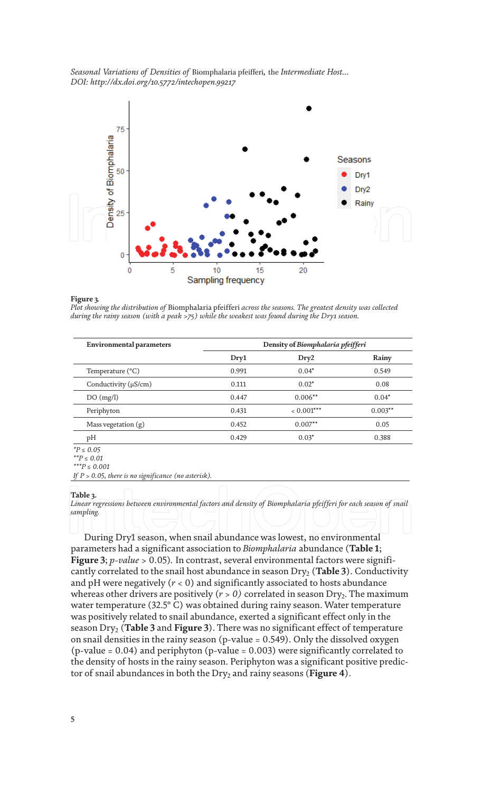

#### **Figure 3***.*

*Plot showing the distribution of* Biomphalaria pfeifferi *across the seasons. The greatest density was collected during the rainy season (with a peak >75) while the weakest was found during the Dry1 season.*

| Environmental parameters  | Density of Biomphalaria pfeifferi |              |           |
|---------------------------|-----------------------------------|--------------|-----------|
|                           | Dry1                              | Dry2         | Rainy     |
| Temperature $(^{\circ}C)$ | 0.991                             | $0.04*$      | 0.549     |
| Conductivity (µS/cm)      | 0.111                             | $0.02*$      | 0.08      |
| DO(mg/l)                  | 0.447                             | $0.006**$    | $0.04*$   |
| Periphyton                | 0.431                             | $< 0.001***$ | $0.003**$ |
| Mass vegetation $(g)$     | 0.452                             | $0.007**$    | 0.05      |
| pН                        | 0.429                             | $0.03*$      | 0.388     |
| $*P < 0.05$               |                                   |              |           |

*\*P ≤ 0.05*

#### **Table 3.**

*Linear regressions between environmental factors and density of Biomphalaria pfeifferi for each season of snail sampling.*

During Dry1 season, when snail abundance was lowest, no environmental parameters had a significant association to *Biomphalaria* abundance (**Table 1**; **Figure 3**; *p-value* > 0.05)*.* In contrast, several environmental factors were significantly correlated to the snail host abundance in season Dry<sub>2</sub> (Table 3). Conductivity and pH were negatively (*r* < 0) and significantly associated to hosts abundance whereas other drivers are positively  $(r > 0)$  correlated in season Dry<sub>2</sub>. The maximum water temperature (32.5° C) was obtained during rainy season. Water temperature was positively related to snail abundance, exerted a significant effect only in the season Dry2 (**Table 3** and **Figure 3**). There was no significant effect of temperature on snail densities in the rainy season (p-value = 0.549). Only the dissolved oxygen (p-value = 0.04) and periphyton (p-value = 0.003) were significantly correlated to the density of hosts in the rainy season. Periphyton was a significant positive predictor of snail abundances in both the Dry<sub>2</sub> and rainy seasons (**Figure 4**).

*<sup>\*\*</sup>P ≤ 0.01 \*\*\*P ≤ 0.001*

*If P > 0.05, there is no significance (no asterisk).*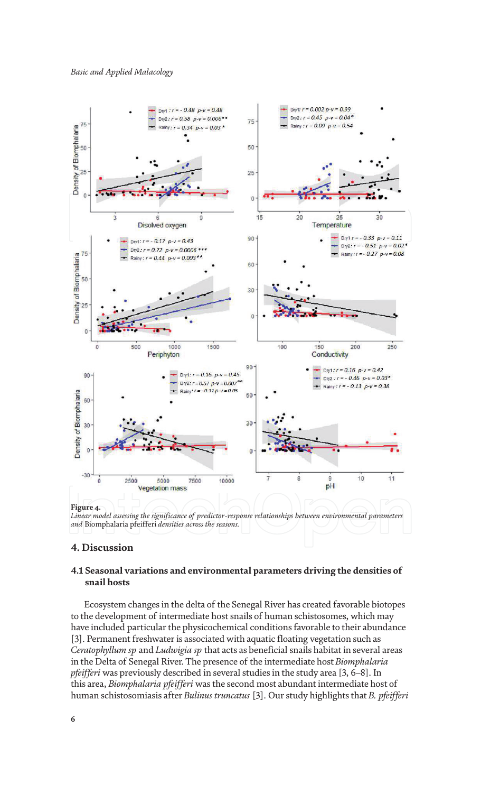

# **4. Discussion**

# **4.1 Seasonal variations and environmental parameters driving the densities of snail hosts**

Ecosystem changes in the delta of the Senegal River has created favorable biotopes to the development of intermediate host snails of human schistosomes, which may have included particular the physicochemical conditions favorable to their abundance [3]. Permanent freshwater is associated with aquatic floating vegetation such as *Ceratophyllum sp* and *Ludwigia sp* that acts as beneficial snails habitat in several areas in the Delta of Senegal River. The presence of the intermediate host *Biomphalaria pfeifferi* was previously described in several studies in the study area [3, 6–8]. In this area, *Biomphalaria pfeifferi* was the second most abundant intermediate host of human schistosomiasis after *Bulinus truncatus* [3]. Our study highlights that *B. pfeifferi*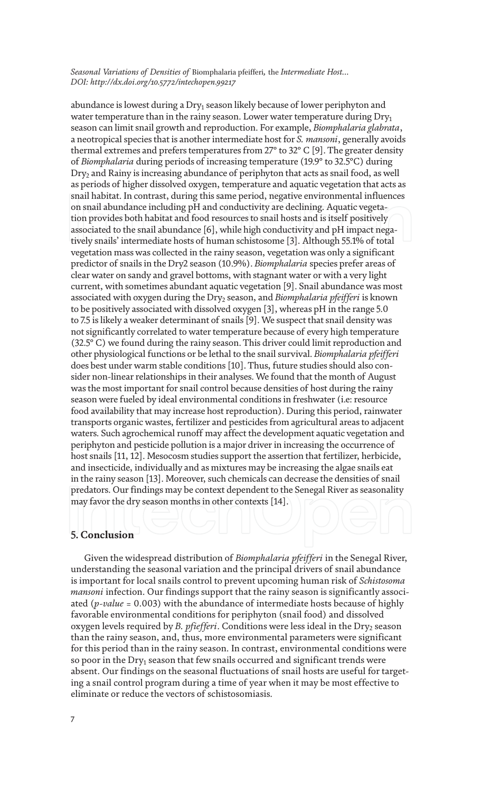abundance is lowest during a Dry $_1$  season likely because of lower periphyton and water temperature than in the rainy season. Lower water temperature during  $Dry_1$ season can limit snail growth and reproduction. For example, *Biomphalaria glabrata*, a neotropical species that is another intermediate host for *S. mansoni*, generally avoids thermal extremes and prefers temperatures from 27° to 32° C [9]. The greater density of *Biomphalaria* during periods of increasing temperature (19.9° to 32.5°C) during Dry<sub>2</sub> and Rainy is increasing abundance of periphyton that acts as snail food, as well as periods of higher dissolved oxygen, temperature and aquatic vegetation that acts as snail habitat. In contrast, during this same period, negative environmental influences on snail abundance including pH and conductivity are declining. Aquatic vegetation provides both habitat and food resources to snail hosts and is itself positively associated to the snail abundance [6], while high conductivity and pH impact negatively snails' intermediate hosts of human schistosome [3]. Although 55.1% of total vegetation mass was collected in the rainy season, vegetation was only a significant predictor of snails in the Dry2 season (10.9%). *Biomphalaria* species prefer areas of clear water on sandy and gravel bottoms, with stagnant water or with a very light current, with sometimes abundant aquatic vegetation [9]. Snail abundance was most associated with oxygen during the Dry<sub>2</sub> season, and *Biomphalaria pfeifferi* is known to be positively associated with dissolved oxygen [3], whereas pH in the range 5.0 to 7.5 is likely a weaker determinant of snails [9]. We suspect that snail density was not significantly correlated to water temperature because of every high temperature (32.5° C) we found during the rainy season. This driver could limit reproduction and other physiological functions or be lethal to the snail survival. *Biomphalaria pfeifferi* does best under warm stable conditions [10]. Thus, future studies should also consider non-linear relationships in their analyses. We found that the month of August was the most important for snail control because densities of host during the rainy season were fueled by ideal environmental conditions in freshwater (i.e: resource food availability that may increase host reproduction). During this period, rainwater transports organic wastes, fertilizer and pesticides from agricultural areas to adjacent waters. Such agrochemical runoff may affect the development aquatic vegetation and periphyton and pesticide pollution is a major driver in increasing the occurrence of host snails [11, 12]. Mesocosm studies support the assertion that fertilizer, herbicide, and insecticide, individually and as mixtures may be increasing the algae snails eat in the rainy season [13]. Moreover, such chemicals can decrease the densities of snail predators. Our findings may be context dependent to the Senegal River as seasonality may favor the dry season months in other contexts [14].

# **5. Conclusion**

Given the widespread distribution of *Biomphalaria pfeifferi* in the Senegal River, understanding the seasonal variation and the principal drivers of snail abundance is important for local snails control to prevent upcoming human risk of *Schistosoma mansoni* infection. Our findings support that the rainy season is significantly associated (*p-value* = 0.003) with the abundance of intermediate hosts because of highly favorable environmental conditions for periphyton (snail food) and dissolved oxygen levels required by *B. pfiefferi*. Conditions were less ideal in the Dry<sub>2</sub> season than the rainy season, and, thus, more environmental parameters were significant for this period than in the rainy season. In contrast, environmental conditions were so poor in the Dry $_{\rm 1}$  season that few snails occurred and significant trends were absent. Our findings on the seasonal fluctuations of snail hosts are useful for targeting a snail control program during a time of year when it may be most effective to eliminate or reduce the vectors of schistosomiasis.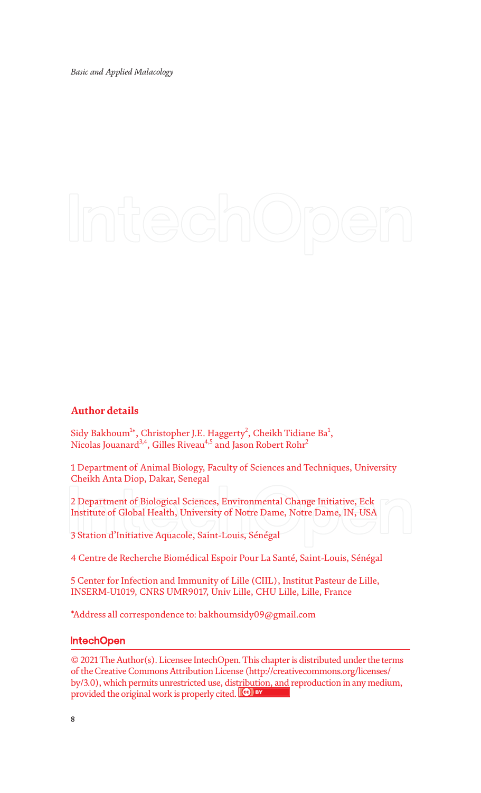# **Author details**

Sidy Bakhoum $^{1*}$ , Christopher J.E. Haggerty<sup>2</sup>, Cheikh Tidiane Ba $^{1}$ , Nicolas Jouanard<sup>3,4</sup>, Gilles Riveau<sup>4,5</sup> and Jason Robert Rohr<sup>2</sup>

1 Department of Animal Biology, Faculty of Sciences and Techniques, University Cheikh Anta Diop, Dakar, Senegal

2 Department of Biological Sciences, Environmental Change Initiative, Eck Institute of Global Health, University of Notre Dame, Notre Dame, IN, USA

3 Station d'Initiative Aquacole, Saint-Louis, Sénégal

4 Centre de Recherche Biomédical Espoir Pour La Santé, Saint-Louis, Sénégal

5 Center for Infection and Immunity of Lille (CIIL), Institut Pasteur de Lille, INSERM-U1019, CNRS UMR9017, Univ Lille, CHU Lille, Lille, France

\*Address all correspondence to: bakhoumsidy09@gmail.com

# **IntechOpen**

© 2021 The Author(s). Licensee IntechOpen. This chapter is distributed under the terms of the Creative Commons Attribution License (http://creativecommons.org/licenses/ by/3.0), which permits unrestricted use, distribution, and reproduction in any medium, provided the original work is properly cited. CO BY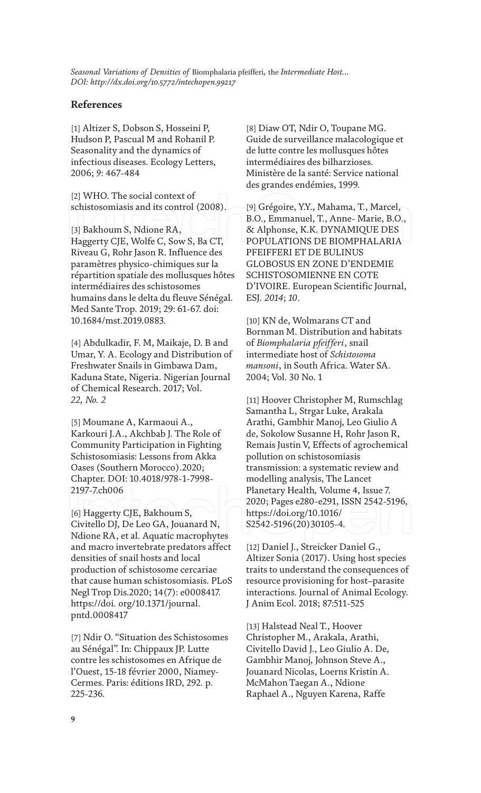# **References**

[1] Altizer S, Dobson S, Hosseini P, Hudson P, Pascual M and Rohanil P. Seasonality and the dynamics of infectious diseases. Ecology Letters, 2006; *9*: 467-484

[2] WHO. The social context of schistosomiasis and its control (2008).

[3] Bakhoum S, Ndione RA, Haggerty CJE, Wolfe C, Sow S, Ba CT, Riveau G, Rohr Jason R. Influence des paramètres physico-chimiques sur la répartition spatiale des mollusques hôtes intermédiaires des schistosomes humains dans le delta du fleuve Sénégal. Med Sante Trop. 2019; 29: 61-67. doi: 10.1684/mst.2019.0883.

[4] Abdulkadir, F. M, Maikaje, D. B and Umar, Y. A. Ecology and Distribution of Freshwater Snails in Gimbawa Dam, Kaduna State, Nigeria. Nigerian Journal of Chemical Research. 2017; Vol. *22, No. 2*

[5] Moumane A, Karmaoui A., Karkouri J.A., Akchbab J. The Role of Community Participation in Fighting Schistosomiasis: Lessons from Akka Oases (Southern Morocco).2020; Chapter. DOI: 10.4018/978-1-7998- 2197-7.ch006

[6] Haggerty CJE, Bakhoum S, Civitello DJ, De Leo GA, Jouanard N, Ndione RA, et al. Aquatic macrophytes and macro invertebrate predators affect densities of snail hosts and local production of schistosome cercariae that cause human schistosomiasis. PLoS Negl Trop Dis.2020; 14(7): e0008417. https://doi. org/10.1371/journal. pntd.0008417

[7] Ndir O. "Situation des Schistosomes au Sénégal". In: Chippaux JP. Lutte contre les schistosomes en Afrique de l'Ouest, 15-18 février 2000, Niamey-Cermes. Paris: éditions IRD, 292. p. 225-236.

[8] Diaw OT, Ndir O, Toupane MG. Guide de surveillance malacologique et de lutte contre les mollusques hôtes intermédiaires des bilharzioses. Ministère de la santé: Service national des grandes endémies, 1999.

[9] Grégoire, Y.Y., Mahama, T., Marcel, B.O., Emmanuel, T., Anne- Marie, B.O., & Alphonse, K.K. DYNAMIQUE DES POPULATIONS DE BIOMPHALARIA PFEIFFERI ET DE BULINUS GLOBOSUS EN ZONE D'ENDEMIE SCHISTOSOMIENNE EN COTE D'IVOIRE. European Scientific Journal, ESJ*. 2014*; *10*.

[10] KN de, Wolmarans CT and Bornman M. Distribution and habitats of *Biomphalaria pfeifferi*, snail intermediate host of *Schistosoma mansoni*, in South Africa. Water SA. 2004; Vol. 30 No. 1

[11] Hoover Christopher M, Rumschlag Samantha L, Strgar Luke, Arakala Arathi, Gambhir Manoj, Leo Giulio A de, Sokolow Susanne H, Rohr Jason R, Remais Justin V, Effects of agrochemical pollution on schistosomiasis transmission: a systematic review and modelling analysis, The Lancet Planetary Health*,* Volume 4, Issue 7. 2020; Pages e280-e291, ISSN 2542-5196, https://doi.org/10.1016/ S2542-5196(20)30105-4*.*

[12] Daniel J., Streicker Daniel G., Altizer Sonia (2017). Using host species traits to understand the consequences of resource provisioning for host–parasite interactions. Journal of Animal Ecology. J Anim Ecol. 2018; 87:511-525

[13] Halstead Neal T., Hoover Christopher M., Arakala, Arathi, Civitello David J., Leo Giulio A. De, Gambhir Manoj, Johnson Steve A., Jouanard Nicolas, Loerns Kristin A. McMahon Taegan A., Ndione Raphael A., Nguyen Karena, Raffe